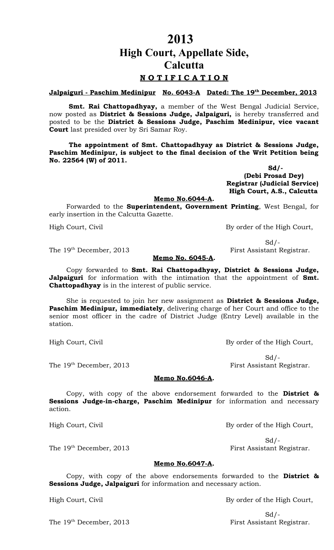**High Court, Appellate Side,**

**2013**

## **Calcutta**

### **N O T I F I C A T I O N**

**Jalpaiguri - Paschim Medinipur No. 6043-A Dated: The 19th December, 2013**

**Smt. Rai Chattopadhyay,** a member of the West Bengal Judicial Service, now posted as **District & Sessions Judge, Jalpaiguri,** is hereby transferred and posted to be the **District & Sessions Judge, Paschim Medinipur, vice vacant Court** last presided over by Sri Samar Roy.

**The appointment of Smt. Chattopadhyay as District & Sessions Judge, Paschim Medinipur, is subject to the final decision of the Writ Petition being No. 22564 (W) of 2011.**

 **Sd/- (Debi Prosad Dey) Registrar (Judicial Service) High Court, A.S., Calcutta**

#### **Memo No.6044-A.**

Forwarded to the **Superintendent, Government Printing**, West Bengal, for early insertion in the Calcutta Gazette.

High Court, Civil By order of the High Court,

 $Sd$  /-

The 19<sup>th</sup> December, 2013 First Assistant Registrar.

#### **Memo No. 6045-A.**

Copy forwarded to **Smt. Rai Chattopadhyay, District & Sessions Judge, Jalpaiguri** for information with the intimation that the appointment of **Smt. Chattopadhyay** is in the interest of public service.

She is requested to join her new assignment as **District & Sessions Judge, Paschim Medinipur, immediately**, delivering charge of her Court and office to the senior most officer in the cadre of District Judge (Entry Level) available in the station.

High Court, Civil By order of the High Court,

The 19<sup>th</sup> December, 2013 First Assistant Registrar.

 $Sd$  /-

#### **Memo No.6046-A.**

Copy, with copy of the above endorsement forwarded to the **District & Sessions Judge-in-charge, Paschim Medinipur** for information and necessary action.

High Court, Civil By order of the High Court,

 $Sd$  /-The 19<sup>th</sup> December, 2013 First Assistant Registrar.

#### **Memo No.6047-A.**

Copy, with copy of the above endorsements forwarded to the **District & Sessions Judge, Jalpaiguri** for information and necessary action.

High Court, Civil By order of the High Court,

 $Sd$  /-The 19<sup>th</sup> December, 2013 First Assistant Registrar.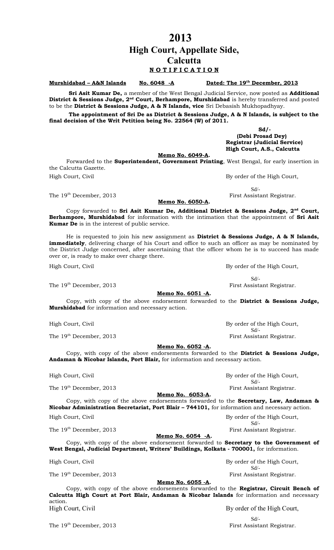### **2013 High Court, Appellate Side, Calcutta N O T I F I C A T I O N**

**Murshidabad – A&N Islands No. 6048 -A** 

Dated: The 19<sup>th</sup> December, 2013

**Sri Asit Kumar De,** a member of the West Bengal Judicial Service, now posted as **Additional District & Sessions Judge, 2nd Court, Berhampore, Murshidabad** is hereby transferred and posted to be the **District & Sessions Judge, A & N Islands, vice** Sri Debasish Mukhopadhyay.

**The appointment of Sri De as District & Sessions Judge, A & N Islands, is subject to the final decision of the Writ Petition being No. 22564 (W) of 2011.**

 **Sd/- (Debi Prosad Dey) Registrar (Judicial Service) High Court, A.S., Calcutta**

**Memo No. 6049-A.**

Forwarded to the **Superintendent, Government Printing**, West Bengal, for early insertion in the Calcutta Gazette. High Court, Civil **By order of the High Court**,

 Sd/- The 19<sup>th</sup> December, 2013 First Assistant Registrar.

#### **Memo No. 6050-A.**

Copy forwarded to **Sri Asit Kumar De, Additional District & Sessions Judge, 2nd Court, Berhampore, Murshidabad** for information with the intimation that the appointment of **Sri Asit Kumar De** is in the interest of public service.

He is requested to join his new assignment as **District & Sessions Judge, A & N Islands, immediately**, delivering charge of his Court and office to such an officer as may be nominated by the District Judge concerned, after ascertaining that the officer whom he is to succeed has made over or, is ready to make over charge there.

High Court, Civil **By order of the High Court**,

#### **Memo No. 6051 -A.**

Copy, with copy of the above endorsement forwarded to the **District & Sessions Judge, Murshidabad** for information and necessary action.

High Court, Civil By order of the High Court,

The 19<sup>th</sup> December, 2013 First Assistant Registrar.

#### **Memo No. 6052 -A.**

Copy, with copy of the above endorsements forwarded to the **District & Sessions Judge, Andaman & Nicobar Islands, Port Blair,** for information and necessary action.

The 19<sup>th</sup> December, 2013 First Assistant Registrar.

**Memo No. 6053-A.**

Copy, with copy of the above endorsements forwarded to the **Secretary, Law, Andaman & Nicobar Administration Secretariat, Port Blair – 744101,** for information and necessary action. High Court, Civil **By order of the High Court**,

The 19<sup>th</sup> December, 2013 First Assistant Registrar.

**Memo No. 6054 -A.**

Copy, with copy of the above endorsement forwarded to **Secretary to the Government of West Bengal, Judicial Department, Writers' Buildings, Kolkata - 700001,** for information.

High Court, Civil **By order of the High Court**,

The 19<sup>th</sup> December, 2013 First Assistant Registrar.

#### **Memo No. 6055 -A.**

Copy, with copy of the above endorsements forwarded to the **Registrar, Circuit Bench of Calcutta High Court at Port Blair, Andaman & Nicobar Islands** for information and necessary action. High Court, Civil By order of the High Court,

Sd/-

The 19<sup>th</sup> December, 2013 First Assistant Registrar.

Sd/-

The 19<sup>th</sup> December, 2013 First Assistant Registrar.

Sd/-

High Court, Civil **By order of the High Court**, Sd/-

Sd/-

Sd/-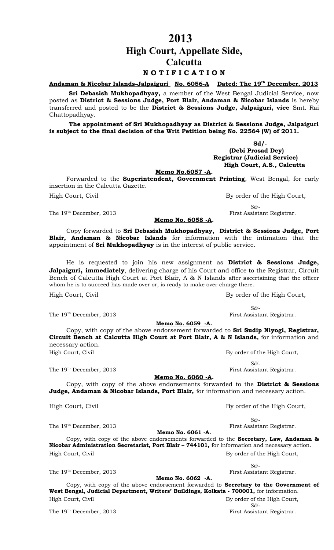**2013**

**High Court, Appellate Side,**

**Calcutta**

### **N O T I F I C A T I O N**

**Andaman & Nicobar Islands-Jalpaiguri No. 6056-A Dated: The 19th December, 2013**

**Sri Debasish Mukhopadhyay,** a member of the West Bengal Judicial Service, now posted as **District & Sessions Judge, Port Blair, Andaman & Nicobar Islands** is hereby transferred and posted to be the **District & Sessions Judge, Jalpaiguri, vice** Smt. Rai Chattopadhyay.

**The appointment of Sri Mukhopadhyay as District & Sessions Judge, Jalpaiguri is subject to the final decision of the Writ Petition being No. 22564 (W) of 2011.**

#### **Sd/- (Debi Prosad Dey) Registrar (Judicial Service) High Court, A.S., Calcutta**

#### **Memo No.6057 -A.**

Forwarded to the **Superintendent, Government Printing**, West Bengal, for early insertion in the Calcutta Gazette. High Court, Civil By order of the High Court,

Sd/-

The 19<sup>th</sup> December, 2013 **First Assistant Registrar.** 

#### **Memo No. 6058 -A.**

Copy forwarded to **Sri Debasish Mukhopadhyay, District & Sessions Judge, Port Blair, Andaman & Nicobar Islands** for information with the intimation that the appointment of **Sri Mukhopadhyay** is in the interest of public service.

He is requested to join his new assignment as **District & Sessions Judge, Jalpaiguri, immediately**, delivering charge of his Court and office to the Registrar, Circuit Bench of Calcutta High Court at Port Blair, A & N Islands after ascertaining that the officer whom he is to succeed has made over or, is ready to make over charge there.

High Court, Civil **By order of the High Court**,

The 19<sup>th</sup> December, 2013 First Assistant Registrar.

**Memo No. 6059 -A.**

Copy, with copy of the above endorsement forwarded to **Sri Sudip Niyogi, Registrar, Circuit Bench at Calcutta High Court at Port Blair, A & N Islands,** for information and necessary action.

High Court, Civil **By order of the High Court**,

Sd/-

Sd/-

The 19<sup>th</sup> December, 2013 First Assistant Registrar.

**Memo No. 6060 -A.**

Copy, with copy of the above endorsements forwarded to the **District & Sessions Judge, Andaman & Nicobar Islands, Port Blair,** for information and necessary action.

High Court, Civil By order of the High Court,

Sd/-

Sd/-

**Memo No. 6061 -A.** Copy, with copy of the above endorsements forwarded to the **Secretary, Law, Andaman & Nicobar Administration Secretariat, Port Blair – 744101,** for information and necessary action. High Court, Civil **By order of the High Court**,

The 19<sup>th</sup> December, 2013 First Assistant Registrar.

**Memo No. 6062 -A.**

Copy, with copy of the above endorsement forwarded to **Secretary to the Government of West Bengal, Judicial Department, Writers' Buildings, Kolkata - 700001,** for information. High Court, Civil By order of the High Court,

The 19<sup>th</sup> December, 2013 First Assistant Registrar.

Sd/-

The 19<sup>th</sup> December, 2013 First Assistant Registrar.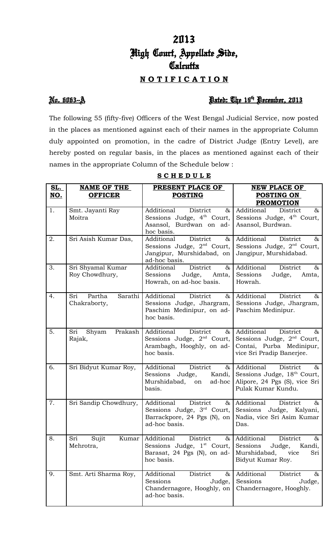# 2013 High Court, Appellate Side, **Calcutta**

### **N O T I F I C A T I O N**

### No. 6063--A Dated: The 19th December, 2013

The following 55 (fifty-five) Officers of the West Bengal Judicial Service, now posted in the places as mentioned against each of their names in the appropriate Column duly appointed on promotion, in the cadre of District Judge (Entry Level), are hereby posted on regular basis, in the places as mentioned against each of their names in the appropriate Column of the Schedule below :

| <u>SL.</u> | <b>NAME OF THE</b>       | PRESENT PLACE OF                        | <b>NEW PLACE OF</b>                                   |  |  |
|------------|--------------------------|-----------------------------------------|-------------------------------------------------------|--|--|
| <u>NO.</u> | <b>OFFICER</b>           | <b>POSTING</b>                          | <b>POSTING ON</b>                                     |  |  |
|            |                          |                                         | <b>PROMOTION</b>                                      |  |  |
| 1.         | Smt. Jayanti Ray         | Additional<br>District<br>&             | Additional<br>$\&$<br>District                        |  |  |
|            | Moitra                   | Sessions Judge, $4th$ Court,            | Sessions Judge, 4 <sup>th</sup> Court,                |  |  |
|            |                          | Asansol, Burdwan on ad-                 | Asansol, Burdwan.                                     |  |  |
|            |                          | hoc basis.                              |                                                       |  |  |
| 2.         | Sri Asish Kumar Das,     | District<br>Additional<br>$\&$          | Additional<br>District<br>$\&$                        |  |  |
|            |                          | Sessions Judge, $2nd$ Court,            | Sessions Judge, 2 <sup>nd</sup> Court,                |  |  |
|            |                          | Jangipur, Murshidabad, on               | Jangipur, Murshidabad.                                |  |  |
|            |                          | ad-hoc basis.                           |                                                       |  |  |
| 3.         | Sri Shyamal Kumar        | District<br>Additional<br>$\&$          | Additional<br>District<br>$\&$                        |  |  |
|            | Roy Chowdhury,           | Judge, Amta,<br>Sessions                | Sessions<br>Judge,<br>Amta,                           |  |  |
|            |                          | Howrah, on ad-hoc basis.                | Howrah.                                               |  |  |
| 4.         | Sri<br>Partha<br>Sarathi | District<br>Additional<br>$\&\,$        | Additional<br>District<br>&                           |  |  |
|            | Chakraborty,             | Sessions Judge, Jhargram,               | Sessions Judge, Jhargram,                             |  |  |
|            |                          | Paschim Medinipur, on ad-               | Paschim Medinipur.                                    |  |  |
|            |                          | hoc basis.                              |                                                       |  |  |
|            |                          |                                         |                                                       |  |  |
| 5.         | Sri<br>Prakash<br>Shyam  | Additional<br>District<br>$\alpha$      | Additional<br>District<br>&                           |  |  |
|            | Rajak,                   | Sessions Judge, $2nd$ Court,            | Sessions Judge, $2nd$ Court,                          |  |  |
|            |                          | Arambagh, Hooghly, on ad-<br>hoc basis. | Contai, Purba Medinipur,<br>vice Sri Pradip Banerjee. |  |  |
|            |                          |                                         |                                                       |  |  |
| 6.         | Sri Bidyut Kumar Roy,    | District<br>Additional<br>$\alpha$      | Additional<br>District<br>&                           |  |  |
|            |                          | Sessions Judge,<br>Kandi,               | Sessions Judge, 18th Court,                           |  |  |
|            |                          | Murshidabad, on<br>ad-hoc               | Alipore, 24 Pgs (S), vice Sri                         |  |  |
|            |                          | basis.                                  | Pulak Kumar Kundu.                                    |  |  |
| 7.         | Sri Sandip Chowdhury,    | Additional<br>District                  | & Additional<br>District<br>$\&$                      |  |  |
|            |                          | Sessions Judge, $3rd$ Court,            | Sessions Judge, Kalyani,                              |  |  |
|            |                          | Barrackpore, 24 Pgs (N), on             | Nadia, vice Sri Asim Kumar                            |  |  |
|            |                          | ad-hoc basis.                           | Das.                                                  |  |  |
|            |                          |                                         |                                                       |  |  |
| 8.         | Sujit<br>Kumar<br>Sri    | Additional<br>District<br>$\alpha$      | Additional<br>District<br>&                           |  |  |
|            | Mehrotra,                | Sessions Judge, 1 <sup>st</sup> Court,  | Sessions<br>Judge,<br>Kandi,                          |  |  |
|            |                          | Barasat, 24 Pgs (N), on ad-             | Murshidabad, vice<br>Sri                              |  |  |
|            |                          | hoc basis.                              | Bidyut Kumar Roy.                                     |  |  |
| 9.         | Smt. Arti Sharma Roy,    | Additional<br>District<br>& ∣           | Additional<br>District<br>&                           |  |  |
|            |                          | Sessions<br>Judge,                      | Sessions<br>Judge,                                    |  |  |
|            |                          | Chandernagore, Hooghly, on              | Chandernagore, Hooghly.                               |  |  |
|            |                          | ad-hoc basis.                           |                                                       |  |  |
|            |                          |                                         |                                                       |  |  |

**S C H E D U L E**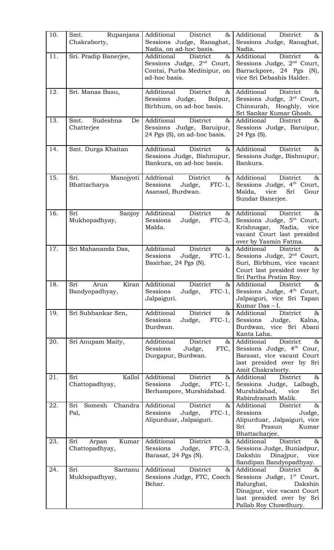| 10. | Rupanjana<br>Smt.<br>Chakraborty,       | Additional<br>District<br>$\infty$<br>Sessions Judge, Ranaghat,<br>Nadia, on ad-hoc basis.                  | Additional<br>District<br>&<br>Sessions Judge, Ranaghat,<br>Nadia.                                                                                                         |
|-----|-----------------------------------------|-------------------------------------------------------------------------------------------------------------|----------------------------------------------------------------------------------------------------------------------------------------------------------------------------|
| 11. | Sri. Pradip Banerjee,                   | Additional<br>District<br>&<br>Sessions Judge, $2nd$ Court,<br>Contai, Purba Medinipur, on<br>ad-hoc basis. | Additional<br>District<br>$\&$<br>Sessions Judge, $2nd$ Court,<br>Barrackpore, 24 Pgs (N),<br>vice Sri Debashis Halder.                                                    |
| 12. | Sri. Manas Basu,                        | District<br>Additional<br>&<br>Sessions Judge,<br>Bolpur,<br>Birbhum, on ad-hoc basis.                      | Additional<br>District<br>&<br>Sessions Judge, 3 <sup>rd</sup> Court,<br>Chinsurah, Hooghly, vice<br>Sri Sankar Kumar Ghosh.                                               |
| 13. | Sudeshna<br>Smt.<br>De<br>Chatterjee    | Additional<br>District<br>&<br>Sessions Judge, Baruipur,<br>24 Pgs (S), on ad-hoc basis.                    | $\&$<br>Additional<br>District<br>Sessions Judge, Baruipur,<br>24 Pgs (S).                                                                                                 |
| 14. | Smt. Durga Khaitan                      | Additional<br>District<br>&<br>Sessions Judge, Bishnupur,<br>Bankura, on ad-hoc basis.                      | Additional<br>District<br>$\&$<br>Sessions Judge, Bishnupur,<br>Bankura.                                                                                                   |
| 15. | Sri.<br>Manojyoti<br>Bhattacharya       | Addtional<br>District<br>&<br>Judge,<br>$FTC-1$ ,<br>Sessions<br>Asansol, Burdwan.                          | Additional<br>District<br>&<br>Sessions Judge, 4 <sup>th</sup> Court,<br>Malda,<br>vice Sri<br>Gour<br>Sundar Banerjee.                                                    |
| 16. | Sri<br>Sanjoy<br>Mukhopadhyay,          | Additional<br>District<br>&<br>Sessions<br>$FTC-3$ ,<br>Judge,<br>Malda.                                    | Additional<br>District<br>$\&$<br>Sessions Judge, 5 <sup>th</sup> Court,<br>Krishnagar,<br>Nadia,<br>vice<br>vacant Court last presided<br>over by Yasmin Fatma.           |
| 17. | Sri Mahananda Das,                      | Additional<br>District<br>&<br>Sessions<br>Judge, FTC-1,<br>Basirhar, 24 Pgs (N).                           | Additional<br>District<br>&<br>Sessions Judge, 2 <sup>nd</sup> Court,<br>Suri, Birbhum, vice vacant<br>Court last presided over by<br>Sri Partha Pratim Roy.               |
| 18. | Kiran<br>Sri<br>Arun<br>Bandyopadhyay,  | Additional<br>District<br>$\&$<br>$FTC-1$ ,<br>Sessions<br>Judge,<br>Jalpaiguri.                            | Additional<br>District<br>$\&$<br>Sessions Judge, 4 <sup>th</sup> Court,<br>Jalpaiguri, vice Sri Tapan<br>Kumar Das - I.                                                   |
| 19. | Sri Subhankar Sen,                      | District<br>$\&$<br>Additional<br>Sessions<br>Judge, FTC-1,<br>Burdwan.                                     | Additional<br>District<br>$\&$<br>Sessions<br>Judge, Kalna,<br>Burdwan, vice Sri Abani<br>Kanta Laha.                                                                      |
| 20. | Sri Anupam Maity,                       | District<br>Additional<br>&<br>Sessions<br>FTC,<br>Judge,<br>Durgapur, Burdwan.                             | Additional<br>District<br>$\&$<br>Sessions Judge, 4 <sup>th</sup> Cour,<br>Barasat, vice vacant Court<br>last presided over by Sri<br>Amit Chakraborty.                    |
| 21. | Kallol<br>Sri<br>Chattopadhyay,         | District<br>Additional<br>&<br>Sessions<br>Judge,<br>$FTC-1$ ,<br>Berhampore, Murshidabad.                  | Additional<br>District<br>$\&$<br>Sessions Judge, Lalbagh,<br>Murshidabad, vice<br>Sri<br>Rabindranath Malik.                                                              |
| 22. | Sri<br>Somesh Chandra<br>Pal,           | District<br>Additional<br>&<br>Sessions<br>Judge, FTC-1,<br>Alipurduar, Jalpaiguri.                         | Additional<br>$\&$<br>District<br>Sessions<br>Judge,<br>Alipurduar, Jalpaiguri, vice<br>Sri<br>Prasun<br>Kumar<br>Bhattacharjee.                                           |
| 23. | Sri<br>Kumar<br>Arpan<br>Chattopadhyay, | Additional<br>District<br>&<br>Sessions<br>Judge,<br>$FTC-3$ ,<br>Barasat, 24 Pgs (N).                      | District<br>Additional<br>$\&$<br>Sessions Judge, Buniadpur,<br>Dakshin<br>Dinajpur,<br>vice<br>Sandipan Bandyopadhyay.                                                    |
| 24. | Sri<br>Santanu<br>Mukhopadhyay,         | Additional<br>District<br>&<br>Sessions Judge, FTC, Cooch<br>Behar.                                         | Additional<br>District<br>$\&$<br>Sessions Judge, 1st Court,<br>Balurghat,<br>Dakshin<br>Dinajpur, vice vacant Court<br>last presided over by Sri<br>Pallab Roy Chowdhury. |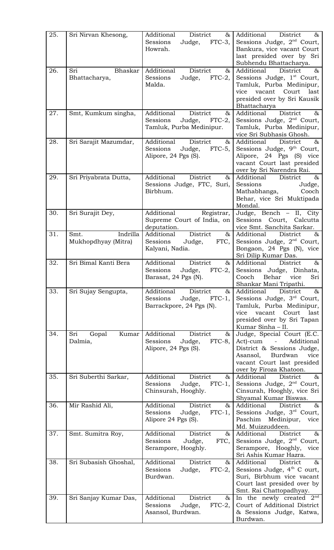| 25. | Sri Nirvan Khesong,   | Additional<br>District<br>$\&$  <br>Sessions<br>Judge, FTC-3,  | Additional<br>District<br>$\&$<br>Sessions Judge, 2 <sup>nd</sup> Court,         |
|-----|-----------------------|----------------------------------------------------------------|----------------------------------------------------------------------------------|
|     |                       | Howrah.                                                        | Bankura, vice vacant Court                                                       |
|     |                       |                                                                | last presided over by Sri<br>Subhendu Bhattacharya.                              |
| 26. | Bhaskar<br>Sri        | Additional<br><b>District</b><br>85<br>Sessions<br>$FTC-2$ ,   | Additional<br>District<br>$\&$                                                   |
|     | Bhattacharya,         | Judge,<br>Malda.                                               | Sessions Judge, 1 <sup>st</sup> Court,<br>Tamluk, Purba Medinipur,               |
|     |                       |                                                                | vice vacant Court last<br>presided over by Sri Kausik                            |
|     |                       |                                                                | Bhattacharya                                                                     |
| 27. | Smt, Kumkum singha,   | Additional<br>District<br>&<br>Judge, FTC-2,<br>Sessions       | Additional<br>District<br>85<br>Sessions Judge, $2nd$ Court,                     |
|     |                       | Tamluk, Purba Medinipur.                                       | Tamluk, Purba Medinipur,<br>vice Sri Subhasis Ghosh.                             |
| 28. | Sri Sarajit Mazumdar, | District<br>Additional<br>85                                   | Additional<br>District<br>$\&$                                                   |
|     |                       | Sessions<br>$FTC-5$ ,<br>Judge,<br>Alipore, 24 Pgs (S).        | Sessions Judge, 9 <sup>th</sup> Court,<br>Alipore, 24 Pgs (S) vice               |
|     |                       |                                                                | vacant Court last presided                                                       |
| 29. | Sri Priyabrata Dutta, | Additional<br>District<br>&                                    | over by Sri Narendra Rai.<br>Additional<br>$\&$<br>District                      |
|     |                       | Sessions Judge, FTC, Suri,                                     | Sessions<br>Judge,                                                               |
|     |                       | Birbhum.                                                       | Cooch<br>Mathabhanga,<br>Behar, vice Sri Muktipada                               |
|     |                       |                                                                | Mondal.                                                                          |
| 30. | Sri Surajit Dey,      | Additional<br>Registrar,<br>Supreme Court of India, on         | Judge, Bench - II, City<br>Sessions Court, Calcutta                              |
| 31. | Smt.<br>Indrilla      | deputation.<br>District<br>Additional<br>$\&$                  | vice Smt. Sanchita Sarkar.<br>Additional<br>District<br>$\&$                     |
|     | Mukhopdhyay (Mitra)   | Sessions<br>Judge,<br>FTC,                                     | Sessions Judge, $2nd$ Court,                                                     |
|     |                       | Kalyani, Nadia.                                                | Bongaon, 24 Pgs (N), vice<br>Sri Dilip Kumar Das.                                |
| 32. | Sri Bimal Kanti Bera  | District<br>Additional<br>&                                    | Additional<br>District<br>$\&$                                                   |
|     |                       | Sessions<br>Judge, $FTC-2,$<br>Barasat, 24 Pgs (N).            | Sessions Judge, Dinhata,<br>Cooch<br>Behar<br>Sri<br>vice                        |
| 33. | Sri Sujay Sengupta,   | Additional<br><b>District</b><br>$\&$                          | Shankar Mani Tripathi.<br>Additional<br>District<br>$\&$                         |
|     |                       | Sessions<br>Judge,<br>$FTC-1$ ,                                | Sessions Judge, 3rd Court,                                                       |
|     |                       | Barrackpore, 24 Pgs (N).                                       | Tamluk, Purba Medinipur,<br>Court<br>last<br>vice<br>vacant                      |
|     |                       |                                                                | presided over by Sri Tapan                                                       |
| 34. | Kumar<br>Sri<br>Gopal | Additional<br>District<br>&                                    | Kumar Sinha - II.<br>Judge, Special Court (E.C.                                  |
|     | Dalmia,               | Sessions<br>Judge,<br>$FTC-8$ ,<br>Alipore, 24 Pgs (S).        | Additional<br>Act)-cum<br>$\overline{\phantom{0}}$<br>District & Sessions Judge, |
|     |                       |                                                                | Burdwan<br>Asansol,<br>vice                                                      |
|     |                       |                                                                | vacant Court last presided<br>over by Firoza Khatoon.                            |
| 35. | Sri Suberthi Sarkar,  | Additional<br>District<br>&<br>Judge,<br>Sessions<br>$FTC-1$ , | Additional<br>District<br>$\&$<br>Sessions Judge, $2nd$ Court,                   |
|     |                       | Chinsurah, Hooghly.                                            | Cinsurah, Hooghly, vice Sri                                                      |
| 36. | Mir Rashid Ali,       | Additional<br>District<br>$\&$                                 | Shyamal Kumar Biswas.<br>Additional<br>$\&$<br>District                          |
|     |                       | $FTC-1$ ,<br>Sessions<br>Judge,                                | Sessions Judge, 3rd Court,                                                       |
|     |                       | Alipore 24 Pgs (S).                                            | Paschim<br>Medinipur,<br>vice<br>Md. Muizzuddeen.                                |
| 37. | Smt. Sumitra Roy,     | Additional<br>District<br>&<br>Sessions<br>Judge,<br>FTC,      | Additional<br>District<br>$\&$<br>Sessions Judge, 2 <sup>nd</sup> Court,         |
|     |                       | Serampore, Hooghly.                                            | Serampore, Hooghly, vice                                                         |
| 38. | Sri Subasish Ghoshal, | Additional<br>District<br>85                                   | Sri Ashis Kumar Hazra.<br>Additional<br>District<br>&                            |
|     |                       | Sessions<br>$FTC-2$ ,<br>Judge,                                | Sessions Judge, 4 <sup>th</sup> C ourt,                                          |
|     |                       | Burdwan.                                                       | Suri, Birbhum vice vacant<br>Court last presided over by                         |
|     |                       | Additional<br>District                                         | Smt. Rai Chattopadhyay.                                                          |
| 39. | Sri Sanjay Kumar Das, | &<br>Sessions<br>$FTC-2$ ,<br>Judge,                           | In the newly created $2nd$<br>Court of Additional District                       |
|     |                       | Asansol, Burdwan.                                              | & Sessions Judge, Katwa,<br>Burdwan.                                             |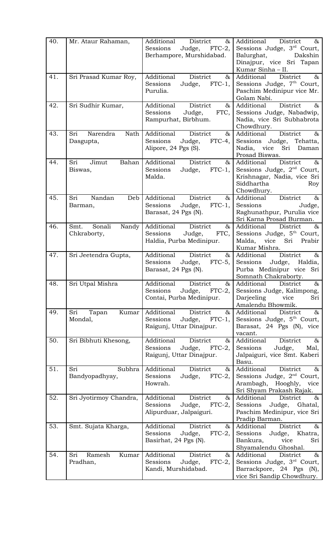| 40. | Mr. Ataur Rahaman,                     | &<br>Additional<br>District<br>Sessions<br>Judge, FTC-2,<br>Berhampore, Murshidabad.       | Additional<br>$\&$<br>District<br>Sessions Judge, 3rd Court,<br>Balurghat,<br>Dakshin<br>Dinajpur, vice Sri Tapan<br>Kumar Sinha - II.         |
|-----|----------------------------------------|--------------------------------------------------------------------------------------------|------------------------------------------------------------------------------------------------------------------------------------------------|
| 41. | Sri Prasad Kumar Roy,                  | Additional<br><b>District</b><br>&<br>$FTC-1$ ,<br>Sessions<br>Judge,<br>Purulia.          | District<br>Additional<br>$\&$<br>Sessions Judge, 7th Court,<br>Paschim Medinipur vice Mr.<br>Golam Nabi.                                      |
| 42. | Sri Sudhir Kumar,                      | District<br>Additional<br>&<br>Sessions<br>Judge,<br>FTC,<br>Rampurhat, Birbhum.           | Additional<br>District<br>$\&$<br>Sessions Judge, Nabadwip,<br>Nadia, vice Sri Subhabrota<br>Chowdhury.                                        |
| 43. | Sri<br>Narendra<br>Nath<br>Dasgupta,   | Additional<br>District<br>&<br>Sessions<br>Judge,<br>$FTC-4,$<br>Alipore, 24 Pgs (S).      | Additional<br>District<br>$\&$<br>Sessions Judge, Tehatta,<br>Nadia, vice<br>Sri<br>Daman<br>Prosad Biswas.                                    |
| 44. | Sri<br>Jimut<br>Bahan<br>Biswas,       | Additional<br>District<br>$\&$<br>Judge, FTC-1,<br>Sessions<br>Malda.                      | Additional<br>District<br>$\alpha$<br>Sessions Judge, 2 <sup>nd</sup> Court,<br>Krishnagar, Nadia, vice Sri<br>Siddhartha<br>Roy<br>Chowdhury. |
| 45. | Nandan<br>Sri<br>Deb<br>Barman,        | Additional<br>District<br>&<br>Judge, FTC-1,<br>Sessions<br>Barasat, 24 Pgs (N).           | District<br>Additional<br>$\&$<br>Sessions<br>Judge,<br>Raghunathpur, Purulia vice<br>Sri Karna Prosad Burman.                                 |
| 46. | Sonali<br>Smt.<br>Nandy<br>Chkraborty, | Additional<br>District<br>&<br>Sessions<br>Judge,<br>FTC,<br>Haldia, Purba Medinipur.      | Additional<br>District<br>$\&$<br>Sessions Judge, 5 <sup>th</sup> Court,<br>Malda,<br>vice Sri<br>Prabir<br>Kumar Mishra.                      |
| 47. | Sri Jeetendra Gupta,                   | Additional<br>District<br>&<br>Sessions<br>Judge,<br>$FTC-5$ ,<br>Barasat, 24 Pgs (N).     | Additional<br>District<br>$\&$<br>Sessions<br>Judge,<br>Haldia,<br>Purba Medinipur vice Sri<br>Somnath Chakraborty.                            |
| 48. | Sri Utpal Mishra                       | Additional<br>District<br>&<br>Sessions<br>$FTC-2$ ,<br>Judge,<br>Contai, Purba Medinipur. | Additional<br>District<br>&<br>Sessions Judge, Kalimpong,<br>Darjeeling<br>vice<br>Sri<br>Amalendu Bhowmik.                                    |
| 49. | Kumar<br>Sri<br>Tapan<br>Mondal,       | Additional<br>District<br>&<br>Judge, FTC-1,<br>Sessions<br>Raigunj, Uttar Dinajpur.       | Additional<br>District<br>$\&$<br>Sessions Judge, 5th Court,<br>Barasat, 24 Pgs (N), vice<br>vacant.                                           |
| 50. | Sri Bibhuti Khesong,                   | Additional<br>District<br>&<br>Sessions<br>Judge, FTC-2,<br>Raigunj, Uttar Dinajpur.       | District<br>Additional<br>$\&$<br>Sessions<br>Judge,<br>Mal,<br>Jalpaiguri, vice Smt. Kaberi<br>Basu.                                          |
| 51. | Sri<br>Subhra<br>Bandyopadhyay,        | Additional<br>District<br>$\&$<br>$FTC-2,$<br>Sessions<br>Judge,<br>Howrah.                | Additional<br>District<br>$\&$<br>Sessions Judge, 2 <sup>nd</sup> Court,<br>Arambagh,<br>Hooghly,<br>vice<br>Sri Shyam Prakash Rajak.          |
| 52. | Sri Jyotirmoy Chandra,                 | Additional<br>District<br>&<br>Sessions<br>Judge, FTC-2,<br>Alipurduar, Jalpaiguri.        | Additional<br>District<br>$\&$<br>Judge, Ghatal,<br>Sessions<br>Paschim Medinipur, vice Sri<br>Pradip Barman.                                  |
| 53. | Smt. Sujata Kharga,                    | Additional<br>District<br>&<br>Sessions<br>Judge,<br>$FTC-2$ ,<br>Basirhat, 24 Pgs (N).    | Additional<br>District<br>$\&$<br>Sessions<br>Judge,<br>Khatra,<br>Bankura,<br>vice<br>Sri<br>Shyamalendu Ghoshal.                             |
| 54. | Sri<br>Ramesh<br>Kumar<br>Pradhan,     | Additional<br>District<br>&<br>Sessions<br>Judge,<br>$FTC-2$ ,<br>Kandi, Murshidabad.      | Additional<br>District<br>$\&$<br>Sessions Judge, 3 <sup>rd</sup> Court,<br>Barrackpore, 24 Pgs (N),<br>vice Sri Sandip Chowdhury.             |